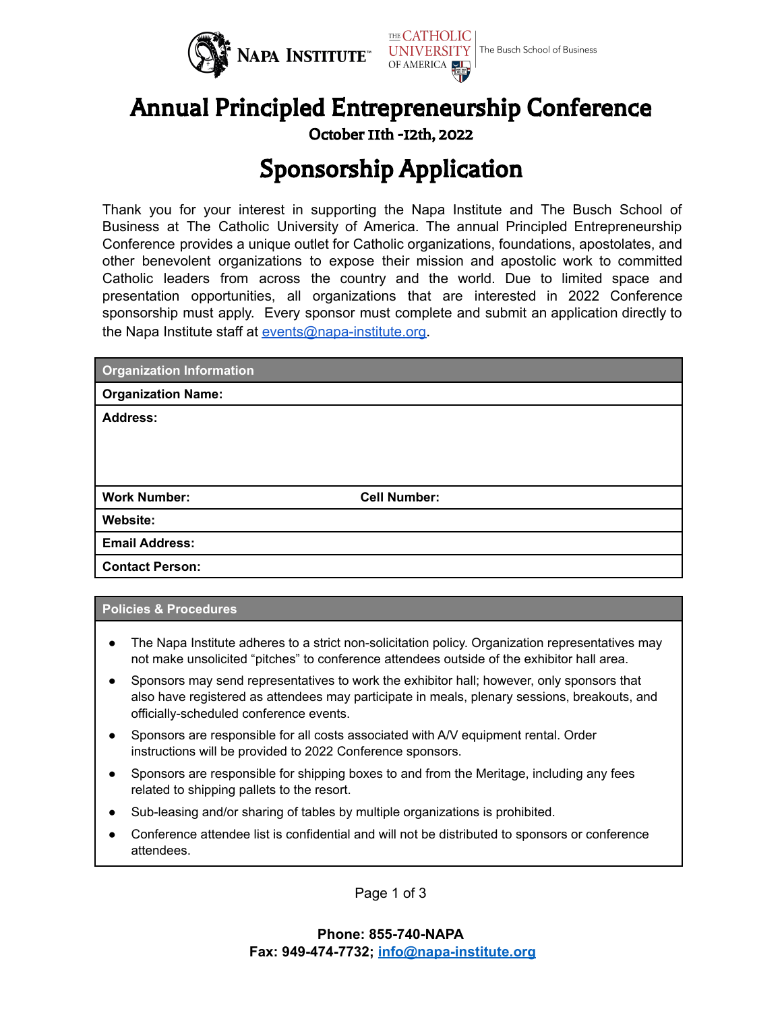



October 11th -12th, 2022

# Sponsorship Application

Thank you for your interest in supporting the Napa Institute and The Busch School of Business at The Catholic University of America. The annual Principled Entrepreneurship Conference provides a unique outlet for Catholic organizations, foundations, apostolates, and other benevolent organizations to expose their mission and apostolic work to committed Catholic leaders from across the country and the world. Due to limited space and presentation opportunities, all organizations that are interested in 2022 Conference sponsorship must apply. Every sponsor must complete and submit an application directly to the Napa Institute staff at [events@napa-institute.org](mailto:events@napa-institute.org).

| <b>Organization Information</b> |                     |
|---------------------------------|---------------------|
| <b>Organization Name:</b>       |                     |
| <b>Address:</b>                 |                     |
|                                 |                     |
|                                 |                     |
|                                 |                     |
| <b>Work Number:</b>             | <b>Cell Number:</b> |
| Website:                        |                     |
| <b>Email Address:</b>           |                     |
| <b>Contact Person:</b>          |                     |

#### **Policies & Procedures**

- The Napa Institute adheres to a strict non-solicitation policy. Organization representatives may not make unsolicited "pitches" to conference attendees outside of the exhibitor hall area.
- Sponsors may send representatives to work the exhibitor hall; however, only sponsors that also have registered as attendees may participate in meals, plenary sessions, breakouts, and officially-scheduled conference events.
- Sponsors are responsible for all costs associated with A/V equipment rental. Order instructions will be provided to 2022 Conference sponsors.
- Sponsors are responsible for shipping boxes to and from the Meritage, including any fees related to shipping pallets to the resort.
- Sub-leasing and/or sharing of tables by multiple organizations is prohibited.
- Conference attendee list is confidential and will not be distributed to sponsors or conference attendees.

Page 1 of 3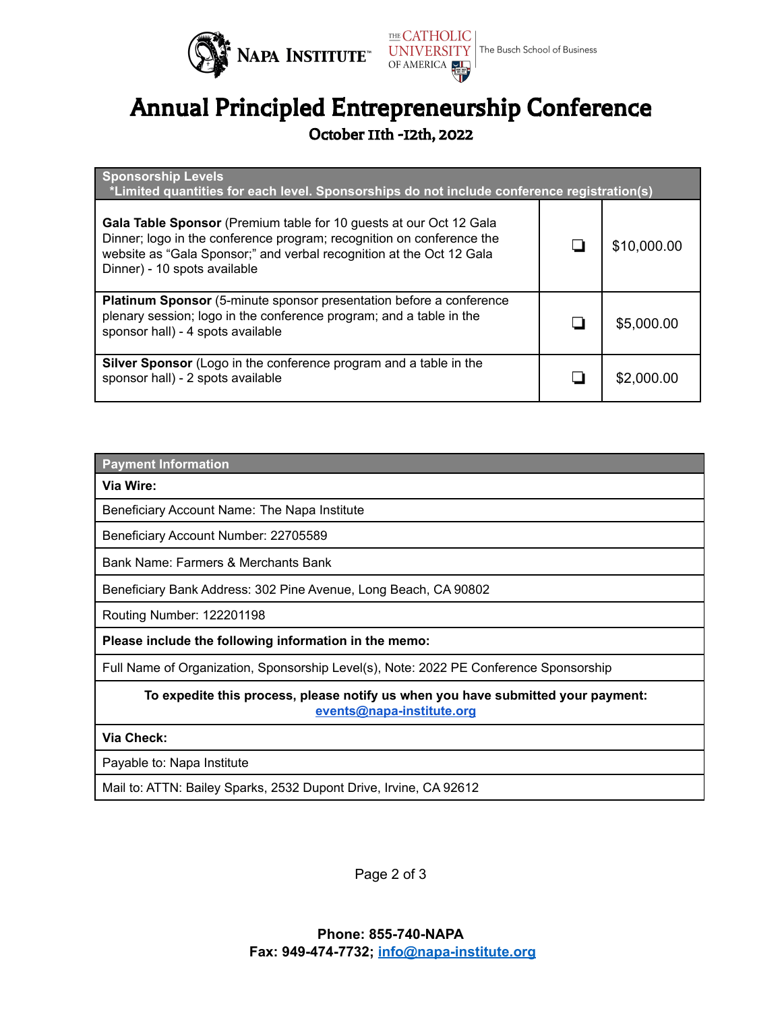



## Annual Principled Entrepreneurship Conference

October 11th -12th, 2022

| <b>Sponsorship Levels</b><br>*Limited quantities for each level. Sponsorships do not include conference registration(s)                                                                                                                             |  |             |  |
|-----------------------------------------------------------------------------------------------------------------------------------------------------------------------------------------------------------------------------------------------------|--|-------------|--|
| Gala Table Sponsor (Premium table for 10 guests at our Oct 12 Gala<br>Dinner; logo in the conference program; recognition on conference the<br>website as "Gala Sponsor;" and verbal recognition at the Oct 12 Gala<br>Dinner) - 10 spots available |  | \$10,000.00 |  |
| Platinum Sponsor (5-minute sponsor presentation before a conference<br>plenary session; logo in the conference program; and a table in the<br>sponsor hall) - 4 spots available                                                                     |  | \$5,000.00  |  |
| <b>Silver Sponsor</b> (Logo in the conference program and a table in the<br>sponsor hall) - 2 spots available                                                                                                                                       |  | \$2,000.00  |  |

#### **Payment Information**

**Via Wire:**

Beneficiary Account Name: The Napa Institute

Beneficiary Account Number: 22705589

Bank Name: Farmers & Merchants Bank

Beneficiary Bank Address: 302 Pine Avenue, Long Beach, CA 90802

Routing Number: 122201198

**Please include the following information in the memo:**

Full Name of Organization, Sponsorship Level(s), Note: 2022 PE Conference Sponsorship

**To expedite this process, please notify us when you have submitted your payment: [events@napa-institute.org](mailto:events@napa-institute.org)**

#### **Via Check:**

Payable to: Napa Institute

Mail to: ATTN: Bailey Sparks, 2532 Dupont Drive, Irvine, CA 92612

Page 2 of 3